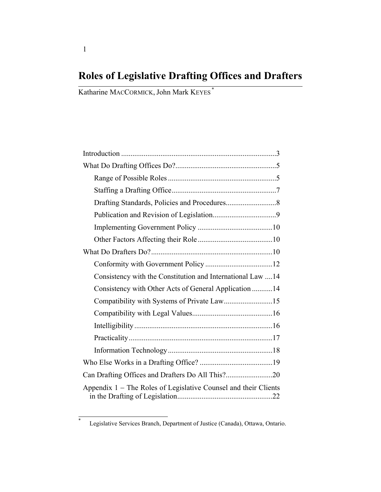# **Roles of Legislative Drafting Offices and Drafters**

Katharine MACCORMICK, John Mark KEYES \*

| Consistency with the Constitution and International Law 14      |
|-----------------------------------------------------------------|
| Consistency with Other Acts of General Application 14           |
|                                                                 |
|                                                                 |
|                                                                 |
|                                                                 |
|                                                                 |
|                                                                 |
|                                                                 |
| Appendix 1 – The Roles of Legislative Counsel and their Clients |

\*

Legislative Services Branch, Department of Justice (Canada), Ottawa, Ontario.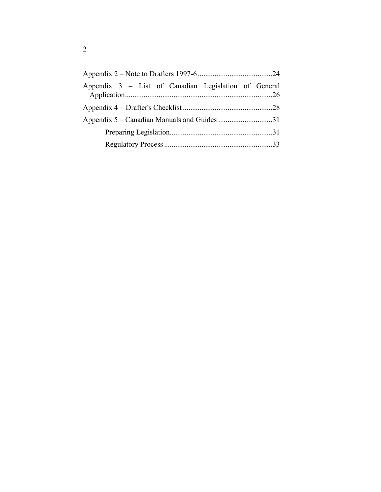| Appendix 3 – List of Canadian Legislation of General |  |
|------------------------------------------------------|--|
|                                                      |  |
|                                                      |  |
|                                                      |  |
|                                                      |  |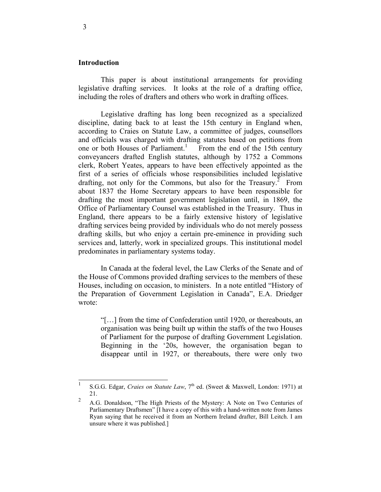#### **Introduction**

 This paper is about institutional arrangements for providing legislative drafting services. It looks at the role of a drafting office, including the roles of drafters and others who work in drafting offices.

 Legislative drafting has long been recognized as a specialized discipline, dating back to at least the 15th century in England when, according to Craies on Statute Law, a committee of judges, counsellors and officials was charged with drafting statutes based on petitions from one or both Houses of Parliament.<sup>1</sup> From the end of the 15th century conveyancers drafted English statutes, although by 1752 a Commons clerk, Robert Yeates, appears to have been effectively appointed as the first of a series of officials whose responsibilities included legislative drafting, not only for the Commons, but also for the Treasury.<sup>2</sup> From about 1837 the Home Secretary appears to have been responsible for drafting the most important government legislation until, in 1869, the Office of Parliamentary Counsel was established in the Treasury. Thus in England, there appears to be a fairly extensive history of legislative drafting services being provided by individuals who do not merely possess drafting skills, but who enjoy a certain pre-eminence in providing such services and, latterly, work in specialized groups. This institutional model predominates in parliamentary systems today.

 In Canada at the federal level, the Law Clerks of the Senate and of the House of Commons provided drafting services to the members of these Houses, including on occasion, to ministers. In a note entitled "History of the Preparation of Government Legislation in Canada", E.A. Driedger wrote:

"[…] from the time of Confederation until 1920, or thereabouts, an organisation was being built up within the staffs of the two Houses of Parliament for the purpose of drafting Government Legislation. Beginning in the '20s, however, the organisation began to disappear until in 1927, or thereabouts, there were only two

 $\frac{1}{1}$ S.G.G. Edgar, *Craies on Statute Law*, 7<sup>th</sup> ed. (Sweet & Maxwell, London: 1971) at 21.

<sup>2</sup> A.G. Donaldson, "The High Priests of the Mystery: A Note on Two Centuries of Parliamentary Draftsmen" [I have a copy of this with a hand-written note from James Ryan saying that he received it from an Northern Ireland drafter, Bill Leitch. I am unsure where it was published.]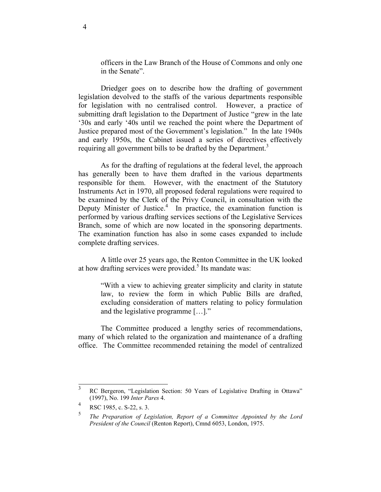officers in the Law Branch of the House of Commons and only one in the Senate".

 Driedger goes on to describe how the drafting of government legislation devolved to the staffs of the various departments responsible for legislation with no centralised control. However, a practice of submitting draft legislation to the Department of Justice "grew in the late '30s and early '40s until we reached the point where the Department of Justice prepared most of the Government's legislation." In the late 1940s and early 1950s, the Cabinet issued a series of directives effectively requiring all government bills to be drafted by the Department.<sup>3</sup>

 As for the drafting of regulations at the federal level, the approach has generally been to have them drafted in the various departments responsible for them. However, with the enactment of the Statutory Instruments Act in 1970, all proposed federal regulations were required to be examined by the Clerk of the Privy Council, in consultation with the Deputy Minister of Justice.<sup>4</sup> In practice, the examination function is performed by various drafting services sections of the Legislative Services Branch, some of which are now located in the sponsoring departments. The examination function has also in some cases expanded to include complete drafting services.

 A little over 25 years ago, the Renton Committee in the UK looked at how drafting services were provided.<sup>5</sup> Its mandate was:

"With a view to achieving greater simplicity and clarity in statute law, to review the form in which Public Bills are drafted, excluding consideration of matters relating to policy formulation and the legislative programme […]."

 The Committee produced a lengthy series of recommendations, many of which related to the organization and maintenance of a drafting office. The Committee recommended retaining the model of centralized

 3 RC Bergeron, "Legislation Section: 50 Years of Legislative Drafting in Ottawa" (1997), No. 199 *Inter Pares* 4.

<sup>4</sup> RSC 1985, c. S-22, s. 3.

<sup>5</sup> *The Preparation of Legislation, Report of a Committee Appointed by the Lord President of the Council* (Renton Report), Cmnd 6053, London, 1975.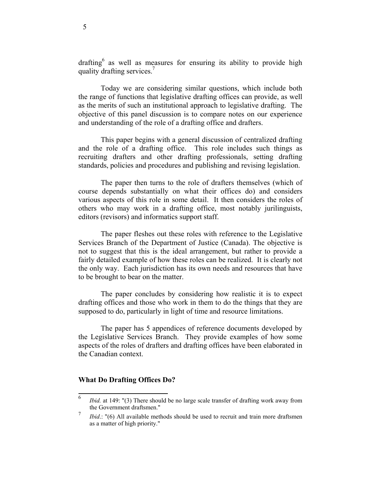drafting as well as measures for ensuring its ability to provide high quality drafting services.<sup>7</sup>

 Today we are considering similar questions, which include both the range of functions that legislative drafting offices can provide, as well as the merits of such an institutional approach to legislative drafting. The objective of this panel discussion is to compare notes on our experience and understanding of the role of a drafting office and drafters.

 This paper begins with a general discussion of centralized drafting and the role of a drafting office. This role includes such things as recruiting drafters and other drafting professionals, setting drafting standards, policies and procedures and publishing and revising legislation.

 The paper then turns to the role of drafters themselves (which of course depends substantially on what their offices do) and considers various aspects of this role in some detail. It then considers the roles of others who may work in a drafting office, most notably jurilinguists, editors (revisors) and informatics support staff.

 The paper fleshes out these roles with reference to the Legislative Services Branch of the Department of Justice (Canada). The objective is not to suggest that this is the ideal arrangement, but rather to provide a fairly detailed example of how these roles can be realized. It is clearly not the only way. Each jurisdiction has its own needs and resources that have to be brought to bear on the matter.

 The paper concludes by considering how realistic it is to expect drafting offices and those who work in them to do the things that they are supposed to do, particularly in light of time and resource limitations.

 The paper has 5 appendices of reference documents developed by the Legislative Services Branch. They provide examples of how some aspects of the roles of drafters and drafting offices have been elaborated in the Canadian context.

#### **What Do Drafting Offices Do?**

<sup>6</sup> *Ibid.* at 149: "(3) There should be no large scale transfer of drafting work away from the Government draftsmen."

<sup>7</sup> *Ibid.*: "(6) All available methods should be used to recruit and train more draftsmen as a matter of high priority."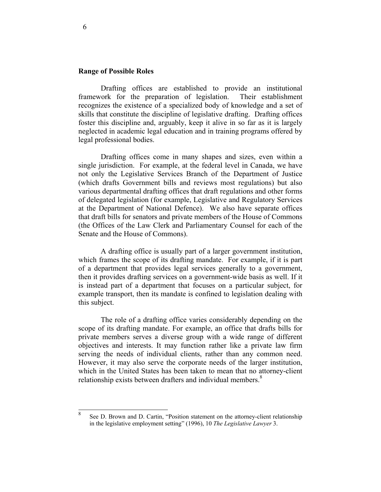#### **Range of Possible Roles**

 Drafting offices are established to provide an institutional framework for the preparation of legislation. Their establishment recognizes the existence of a specialized body of knowledge and a set of skills that constitute the discipline of legislative drafting. Drafting offices foster this discipline and, arguably, keep it alive in so far as it is largely neglected in academic legal education and in training programs offered by legal professional bodies.

 Drafting offices come in many shapes and sizes, even within a single jurisdiction. For example, at the federal level in Canada, we have not only the Legislative Services Branch of the Department of Justice (which drafts Government bills and reviews most regulations) but also various departmental drafting offices that draft regulations and other forms of delegated legislation (for example, Legislative and Regulatory Services at the Department of National Defence). We also have separate offices that draft bills for senators and private members of the House of Commons (the Offices of the Law Clerk and Parliamentary Counsel for each of the Senate and the House of Commons).

 A drafting office is usually part of a larger government institution, which frames the scope of its drafting mandate. For example, if it is part of a department that provides legal services generally to a government, then it provides drafting services on a government-wide basis as well. If it is instead part of a department that focuses on a particular subject, for example transport, then its mandate is confined to legislation dealing with this subject.

 The role of a drafting office varies considerably depending on the scope of its drafting mandate. For example, an office that drafts bills for private members serves a diverse group with a wide range of different objectives and interests. It may function rather like a private law firm serving the needs of individual clients, rather than any common need. However, it may also serve the corporate needs of the larger institution, which in the United States has been taken to mean that no attorney-client relationship exists between drafters and individual members.<sup>8</sup>

 8 See D. Brown and D. Cartin, "Position statement on the attorney-client relationship in the legislative employment setting" (1996), 10 *The Legislative Lawyer* 3.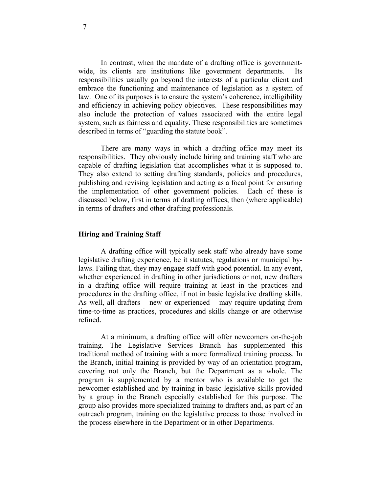In contrast, when the mandate of a drafting office is governmentwide, its clients are institutions like government departments. Its responsibilities usually go beyond the interests of a particular client and embrace the functioning and maintenance of legislation as a system of law. One of its purposes is to ensure the system's coherence, intelligibility and efficiency in achieving policy objectives. These responsibilities may also include the protection of values associated with the entire legal system, such as fairness and equality. These responsibilities are sometimes described in terms of "guarding the statute book".

 There are many ways in which a drafting office may meet its responsibilities. They obviously include hiring and training staff who are capable of drafting legislation that accomplishes what it is supposed to. They also extend to setting drafting standards, policies and procedures, publishing and revising legislation and acting as a focal point for ensuring the implementation of other government policies. Each of these is discussed below, first in terms of drafting offices, then (where applicable) in terms of drafters and other drafting professionals.

#### **Hiring and Training Staff**

 A drafting office will typically seek staff who already have some legislative drafting experience, be it statutes, regulations or municipal bylaws. Failing that, they may engage staff with good potential. In any event, whether experienced in drafting in other jurisdictions or not, new drafters in a drafting office will require training at least in the practices and procedures in the drafting office, if not in basic legislative drafting skills. As well, all drafters – new or experienced – may require updating from time-to-time as practices, procedures and skills change or are otherwise refined.

 At a minimum, a drafting office will offer newcomers on-the-job training. The Legislative Services Branch has supplemented this traditional method of training with a more formalized training process. In the Branch, initial training is provided by way of an orientation program, covering not only the Branch, but the Department as a whole. The program is supplemented by a mentor who is available to get the newcomer established and by training in basic legislative skills provided by a group in the Branch especially established for this purpose. The group also provides more specialized training to drafters and, as part of an outreach program, training on the legislative process to those involved in the process elsewhere in the Department or in other Departments.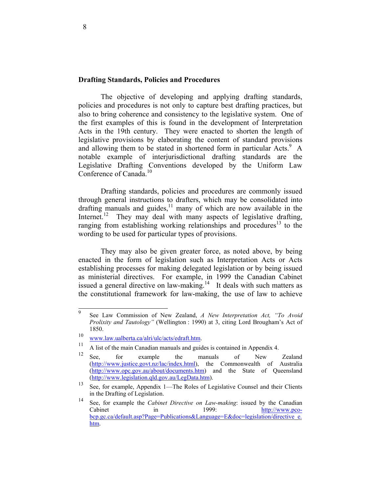#### **Drafting Standards, Policies and Procedures**

 The objective of developing and applying drafting standards, policies and procedures is not only to capture best drafting practices, but also to bring coherence and consistency to the legislative system. One of the first examples of this is found in the development of Interpretation Acts in the 19th century. They were enacted to shorten the length of legislative provisions by elaborating the content of standard provisions and allowing them to be stated in shortened form in particular Acts.<sup>9</sup> A notable example of interjurisdictional drafting standards are the Legislative Drafting Conventions developed by the Uniform Law Conference of Canada.<sup>10</sup>

 Drafting standards, policies and procedures are commonly issued through general instructions to drafters, which may be consolidated into drafting manuals and guides, $\frac{11}{11}$  many of which are now available in the Internet.<sup>12</sup> They may deal with many aspects of legislative drafting, ranging from establishing working relationships and procedures<sup>13</sup> to the wording to be used for particular types of provisions.

 They may also be given greater force, as noted above, by being enacted in the form of legislation such as Interpretation Acts or Acts establishing processes for making delegated legislation or by being issued as ministerial directives. For example, in 1999 the Canadian Cabinet issued a general directive on law-making.<sup>14</sup> It deals with such matters as the constitutional framework for law-making, the use of law to achieve

 9 See Law Commission of New Zealand, *A New Interpretation Act, "To Avoid Prolixity and Tautology"* (Wellington : 1990) at 3, citing Lord Brougham's Act of 1850.

<sup>&</sup>lt;sup>10</sup> www.law.ualberta.ca/alri/ulc/acts/edraft.htm.<br><sup>11</sup> A list of the main Canadian manuals and guides is contained in Appendix 4.

<sup>&</sup>lt;sup>12</sup> See, for example the manuals of New Zealand (http://www.justice.govt.nz/lac/index.html), the Commonwealth of Australia (http://www.opc.gov.au/about/documents.htm) and the State of Queensland (http://www.legislation.qld.gov.au/LegData.htm).

<sup>13</sup> See, for example, Appendix 1—The Roles of Legislative Counsel and their Clients in the Drafting of Legislation.

<sup>14</sup> See, for example the *Cabinet Directive on Law-making*: issued by the Canadian Cabinet in 1999: http://www.pcobcp.gc.ca/default.asp?Page=Publications&Language=E&doc=legislation/directive\_e. htm.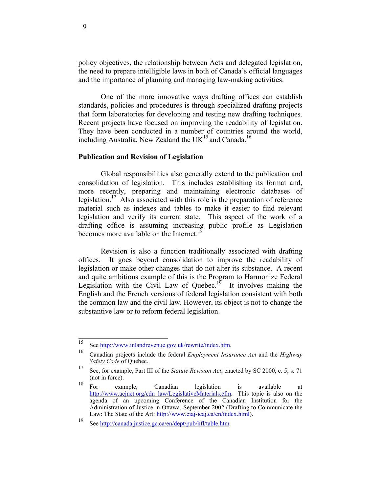policy objectives, the relationship between Acts and delegated legislation, the need to prepare intelligible laws in both of Canada's official languages and the importance of planning and managing law-making activities.

 One of the more innovative ways drafting offices can establish standards, policies and procedures is through specialized drafting projects that form laboratories for developing and testing new drafting techniques. Recent projects have focused on improving the readability of legislation. They have been conducted in a number of countries around the world, including Australia, New Zealand the  $UK^{15}$  and Canada.<sup>16</sup>

#### **Publication and Revision of Legislation**

 Global responsibilities also generally extend to the publication and consolidation of legislation. This includes establishing its format and, more recently, preparing and maintaining electronic databases of legislation.<sup>17</sup> Also associated with this role is the preparation of reference material such as indexes and tables to make it easier to find relevant legislation and verify its current state. This aspect of the work of a drafting office is assuming increasing public profile as Legislation becomes more available on the Internet.<sup>18</sup>

 Revision is also a function traditionally associated with drafting offices. It goes beyond consolidation to improve the readability of legislation or make other changes that do not alter its substance. A recent and quite ambitious example of this is the Program to Harmonize Federal Legislation with the Civil Law of Quebec.<sup>19</sup> It involves making the English and the French versions of federal legislation consistent with both the common law and the civil law. However, its object is not to change the substantive law or to reform federal legislation.

<sup>15</sup> 

<sup>15</sup> See http://www.inlandrevenue.gov.uk/rewrite/index.htm. 16 Canadian projects include the federal *Employment Insurance Act* and the *Highway Safety Code* of Quebec.

<sup>17</sup> See, for example, Part III of the *Statute Revision Act*, enacted by SC 2000, c. 5, s. 71 (not in force).

<sup>18</sup> For example, Canadian legislation is available at http://www.acjnet.org/cdn\_law/LegislativeMaterials.cfm. This topic is also on the agenda of an upcoming Conference of the Canadian Institution for the Administration of Justice in Ottawa, September 2002 (Drafting to Communicate the Law: The State of the Art: http://www.ciaj-icaj.ca/en/index.html).

<sup>19</sup> See http://canada.justice.gc.ca/en/dept/pub/hfl/table.htm.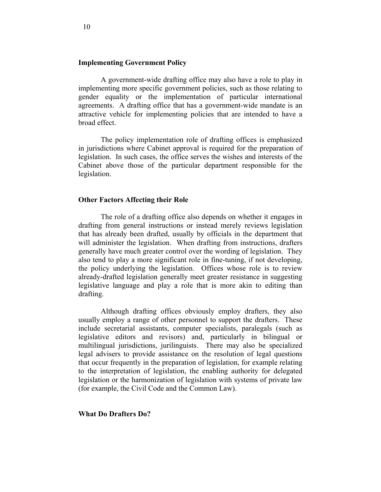#### **Implementing Government Policy**

 A government-wide drafting office may also have a role to play in implementing more specific government policies, such as those relating to gender equality or the implementation of particular international agreements. A drafting office that has a government-wide mandate is an attractive vehicle for implementing policies that are intended to have a broad effect.

 The policy implementation role of drafting offices is emphasized in jurisdictions where Cabinet approval is required for the preparation of legislation. In such cases, the office serves the wishes and interests of the Cabinet above those of the particular department responsible for the legislation.

#### **Other Factors Affecting their Role**

 The role of a drafting office also depends on whether it engages in drafting from general instructions or instead merely reviews legislation that has already been drafted, usually by officials in the department that will administer the legislation. When drafting from instructions, drafters generally have much greater control over the wording of legislation. They also tend to play a more significant role in fine-tuning, if not developing, the policy underlying the legislation. Offices whose role is to review already-drafted legislation generally meet greater resistance in suggesting legislative language and play a role that is more akin to editing than drafting.

 Although drafting offices obviously employ drafters, they also usually employ a range of other personnel to support the drafters. These include secretarial assistants, computer specialists, paralegals (such as legislative editors and revisors) and, particularly in bilingual or multilingual jurisdictions, jurilinguists. There may also be specialized legal advisers to provide assistance on the resolution of legal questions that occur frequently in the preparation of legislation, for example relating to the interpretation of legislation, the enabling authority for delegated legislation or the harmonization of legislation with systems of private law (for example, the Civil Code and the Common Law).

**What Do Drafters Do?**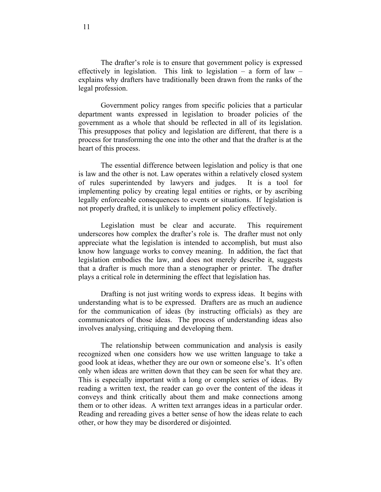The drafter's role is to ensure that government policy is expressed effectively in legislation. This link to legislation  $-$  a form of law  $$ explains why drafters have traditionally been drawn from the ranks of the legal profession.

 Government policy ranges from specific policies that a particular department wants expressed in legislation to broader policies of the government as a whole that should be reflected in all of its legislation. This presupposes that policy and legislation are different, that there is a process for transforming the one into the other and that the drafter is at the heart of this process.

 The essential difference between legislation and policy is that one is law and the other is not. Law operates within a relatively closed system of rules superintended by lawyers and judges. It is a tool for implementing policy by creating legal entities or rights, or by ascribing legally enforceable consequences to events or situations. If legislation is not properly drafted, it is unlikely to implement policy effectively.

 Legislation must be clear and accurate. This requirement underscores how complex the drafter's role is. The drafter must not only appreciate what the legislation is intended to accomplish, but must also know how language works to convey meaning. In addition, the fact that legislation embodies the law, and does not merely describe it, suggests that a drafter is much more than a stenographer or printer. The drafter plays a critical role in determining the effect that legislation has.

 Drafting is not just writing words to express ideas. It begins with understanding what is to be expressed. Drafters are as much an audience for the communication of ideas (by instructing officials) as they are communicators of those ideas. The process of understanding ideas also involves analysing, critiquing and developing them.

 The relationship between communication and analysis is easily recognized when one considers how we use written language to take a good look at ideas, whether they are our own or someone else's. It's often only when ideas are written down that they can be seen for what they are. This is especially important with a long or complex series of ideas. By reading a written text, the reader can go over the content of the ideas it conveys and think critically about them and make connections among them or to other ideas. A written text arranges ideas in a particular order. Reading and rereading gives a better sense of how the ideas relate to each other, or how they may be disordered or disjointed.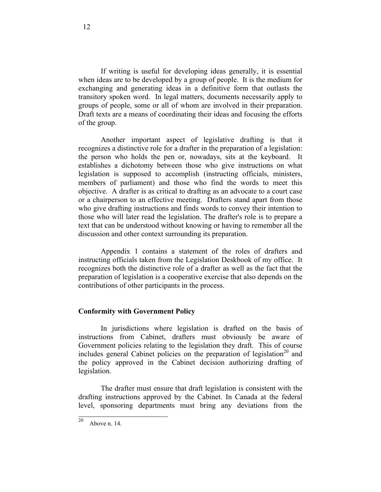If writing is useful for developing ideas generally, it is essential when ideas are to be developed by a group of people. It is the medium for exchanging and generating ideas in a definitive form that outlasts the transitory spoken word. In legal matters, documents necessarily apply to groups of people, some or all of whom are involved in their preparation. Draft texts are a means of coordinating their ideas and focusing the efforts of the group.

 Another important aspect of legislative drafting is that it recognizes a distinctive role for a drafter in the preparation of a legislation: the person who holds the pen or, nowadays, sits at the keyboard. It establishes a dichotomy between those who give instructions on what legislation is supposed to accomplish (instructing officials, ministers, members of parliament) and those who find the words to meet this objective. A drafter is as critical to drafting as an advocate to a court case or a chairperson to an effective meeting. Drafters stand apart from those who give drafting instructions and finds words to convey their intention to those who will later read the legislation. The drafter's role is to prepare a text that can be understood without knowing or having to remember all the discussion and other context surrounding its preparation.

 Appendix 1 contains a statement of the roles of drafters and instructing officials taken from the Legislation Deskbook of my office. It recognizes both the distinctive role of a drafter as well as the fact that the preparation of legislation is a cooperative exercise that also depends on the contributions of other participants in the process.

#### **Conformity with Government Policy**

 In jurisdictions where legislation is drafted on the basis of instructions from Cabinet, drafters must obviously be aware of Government policies relating to the legislation they draft. This of course includes general Cabinet policies on the preparation of legislation<sup>20</sup> and the policy approved in the Cabinet decision authorizing drafting of legislation.

 The drafter must ensure that draft legislation is consistent with the drafting instructions approved by the Cabinet. In Canada at the federal level, sponsoring departments must bring any deviations from the

 $\overline{20}$ Above n. 14.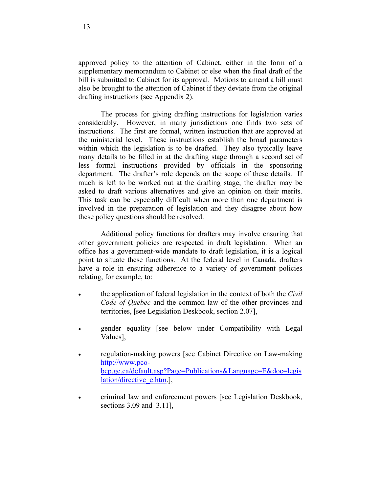approved policy to the attention of Cabinet, either in the form of a supplementary memorandum to Cabinet or else when the final draft of the bill is submitted to Cabinet for its approval. Motions to amend a bill must also be brought to the attention of Cabinet if they deviate from the original drafting instructions (see Appendix 2).

 The process for giving drafting instructions for legislation varies considerably. However, in many jurisdictions one finds two sets of instructions. The first are formal, written instruction that are approved at the ministerial level. These instructions establish the broad parameters within which the legislation is to be drafted. They also typically leave many details to be filled in at the drafting stage through a second set of less formal instructions provided by officials in the sponsoring department. The drafter's role depends on the scope of these details. If much is left to be worked out at the drafting stage, the drafter may be asked to draft various alternatives and give an opinion on their merits. This task can be especially difficult when more than one department is involved in the preparation of legislation and they disagree about how these policy questions should be resolved.

 Additional policy functions for drafters may involve ensuring that other government policies are respected in draft legislation. When an office has a government-wide mandate to draft legislation, it is a logical point to situate these functions. At the federal level in Canada, drafters have a role in ensuring adherence to a variety of government policies relating, for example, to:

- the application of federal legislation in the context of both the *Civil Code of Quebec* and the common law of the other provinces and territories, [see Legislation Deskbook, section 2.07],
- gender equality [see below under Compatibility with Legal Values],
- regulation-making powers [see Cabinet Directive on Law-making http://www.pcobcp.gc.ca/default.asp?Page=Publications&Language=E&doc=legis lation/directive\_e.htm.],
- criminal law and enforcement powers [see Legislation Deskbook, sections 3.09 and 3.11],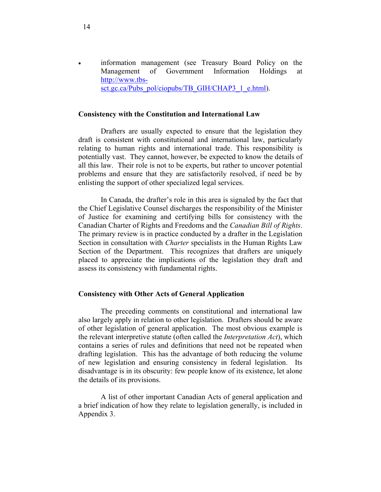• information management (see Treasury Board Policy on the Management of Government Information Holdings at http://www.tbssct.gc.ca/Pubs\_pol/ciopubs/TB\_GIH/CHAP3\_1\_e.html).

#### **Consistency with the Constitution and International Law**

 Drafters are usually expected to ensure that the legislation they draft is consistent with constitutional and international law, particularly relating to human rights and international trade. This responsibility is potentially vast. They cannot, however, be expected to know the details of all this law. Their role is not to be experts, but rather to uncover potential problems and ensure that they are satisfactorily resolved, if need be by enlisting the support of other specialized legal services.

 In Canada, the drafter's role in this area is signaled by the fact that the Chief Legislative Counsel discharges the responsibility of the Minister of Justice for examining and certifying bills for consistency with the Canadian Charter of Rights and Freedoms and the *Canadian Bill of Rights*. The primary review is in practice conducted by a drafter in the Legislation Section in consultation with *Charter* specialists in the Human Rights Law Section of the Department. This recognizes that drafters are uniquely placed to appreciate the implications of the legislation they draft and assess its consistency with fundamental rights.

#### **Consistency with Other Acts of General Application**

 The preceding comments on constitutional and international law also largely apply in relation to other legislation. Drafters should be aware of other legislation of general application. The most obvious example is the relevant interpretive statute (often called the *Interpretation Act*), which contains a series of rules and definitions that need not be repeated when drafting legislation. This has the advantage of both reducing the volume of new legislation and ensuring consistency in federal legislation. Its disadvantage is in its obscurity: few people know of its existence, let alone the details of its provisions.

 A list of other important Canadian Acts of general application and a brief indication of how they relate to legislation generally, is included in Appendix 3.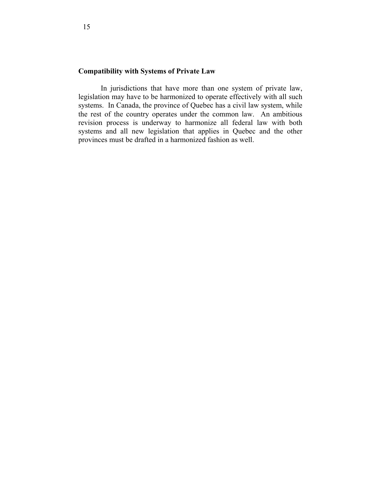### **Compatibility with Systems of Private Law**

 In jurisdictions that have more than one system of private law, legislation may have to be harmonized to operate effectively with all such systems. In Canada, the province of Quebec has a civil law system, while the rest of the country operates under the common law. An ambitious revision process is underway to harmonize all federal law with both systems and all new legislation that applies in Quebec and the other provinces must be drafted in a harmonized fashion as well.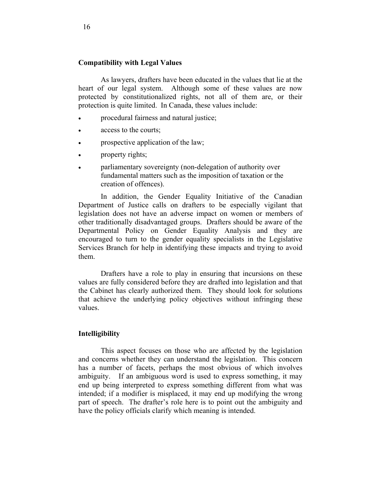#### **Compatibility with Legal Values**

 As lawyers, drafters have been educated in the values that lie at the heart of our legal system. Although some of these values are now protected by constitutionalized rights, not all of them are, or their protection is quite limited. In Canada, these values include:

- procedural fairness and natural justice;
- access to the courts;
- prospective application of the law;
- property rights;
- parliamentary sovereignty (non-delegation of authority over fundamental matters such as the imposition of taxation or the creation of offences).

 In addition, the Gender Equality Initiative of the Canadian Department of Justice calls on drafters to be especially vigilant that legislation does not have an adverse impact on women or members of other traditionally disadvantaged groups. Drafters should be aware of the Departmental Policy on Gender Equality Analysis and they are encouraged to turn to the gender equality specialists in the Legislative Services Branch for help in identifying these impacts and trying to avoid them.

 Drafters have a role to play in ensuring that incursions on these values are fully considered before they are drafted into legislation and that the Cabinet has clearly authorized them. They should look for solutions that achieve the underlying policy objectives without infringing these values.

#### **Intelligibility**

 This aspect focuses on those who are affected by the legislation and concerns whether they can understand the legislation. This concern has a number of facets, perhaps the most obvious of which involves ambiguity. If an ambiguous word is used to express something, it may end up being interpreted to express something different from what was intended; if a modifier is misplaced, it may end up modifying the wrong part of speech. The drafter's role here is to point out the ambiguity and have the policy officials clarify which meaning is intended.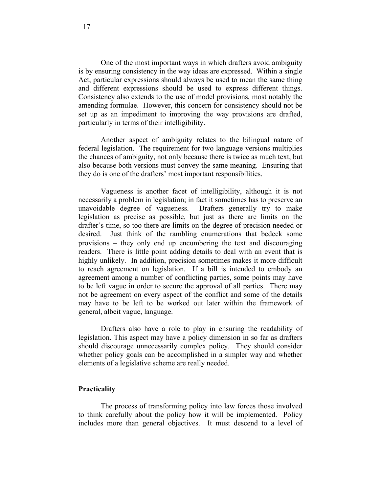One of the most important ways in which drafters avoid ambiguity is by ensuring consistency in the way ideas are expressed. Within a single Act, particular expressions should always be used to mean the same thing and different expressions should be used to express different things. Consistency also extends to the use of model provisions, most notably the amending formulae. However, this concern for consistency should not be set up as an impediment to improving the way provisions are drafted, particularly in terms of their intelligibility.

 Another aspect of ambiguity relates to the bilingual nature of federal legislation. The requirement for two language versions multiplies the chances of ambiguity, not only because there is twice as much text, but also because both versions must convey the same meaning. Ensuring that they do is one of the drafters' most important responsibilities.

 Vagueness is another facet of intelligibility, although it is not necessarily a problem in legislation; in fact it sometimes has to preserve an unavoidable degree of vagueness. Drafters generally try to make legislation as precise as possible, but just as there are limits on the drafter's time, so too there are limits on the degree of precision needed or desired. Just think of the rambling enumerations that bedeck some provisions – they only end up encumbering the text and discouraging readers. There is little point adding details to deal with an event that is highly unlikely. In addition, precision sometimes makes it more difficult to reach agreement on legislation. If a bill is intended to embody an agreement among a number of conflicting parties, some points may have to be left vague in order to secure the approval of all parties. There may not be agreement on every aspect of the conflict and some of the details may have to be left to be worked out later within the framework of general, albeit vague, language.

 Drafters also have a role to play in ensuring the readability of legislation. This aspect may have a policy dimension in so far as drafters should discourage unnecessarily complex policy. They should consider whether policy goals can be accomplished in a simpler way and whether elements of a legislative scheme are really needed.

#### **Practicality**

 The process of transforming policy into law forces those involved to think carefully about the policy how it will be implemented. Policy includes more than general objectives. It must descend to a level of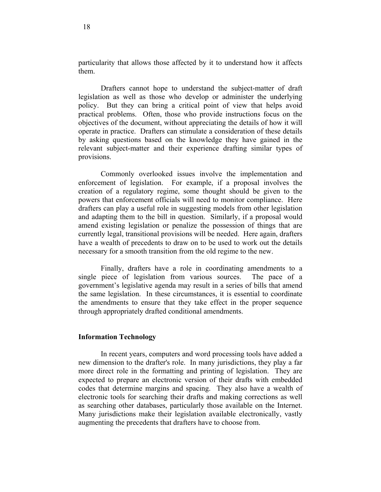particularity that allows those affected by it to understand how it affects them.

 Drafters cannot hope to understand the subject-matter of draft legislation as well as those who develop or administer the underlying policy. But they can bring a critical point of view that helps avoid practical problems. Often, those who provide instructions focus on the objectives of the document, without appreciating the details of how it will operate in practice. Drafters can stimulate a consideration of these details by asking questions based on the knowledge they have gained in the relevant subject-matter and their experience drafting similar types of provisions.

 Commonly overlooked issues involve the implementation and enforcement of legislation. For example, if a proposal involves the creation of a regulatory regime, some thought should be given to the powers that enforcement officials will need to monitor compliance. Here drafters can play a useful role in suggesting models from other legislation and adapting them to the bill in question. Similarly, if a proposal would amend existing legislation or penalize the possession of things that are currently legal, transitional provisions will be needed. Here again, drafters have a wealth of precedents to draw on to be used to work out the details necessary for a smooth transition from the old regime to the new.

 Finally, drafters have a role in coordinating amendments to a single piece of legislation from various sources. The pace of a government's legislative agenda may result in a series of bills that amend the same legislation. In these circumstances, it is essential to coordinate the amendments to ensure that they take effect in the proper sequence through appropriately drafted conditional amendments.

#### **Information Technology**

 In recent years, computers and word processing tools have added a new dimension to the drafter's role. In many jurisdictions, they play a far more direct role in the formatting and printing of legislation. They are expected to prepare an electronic version of their drafts with embedded codes that determine margins and spacing. They also have a wealth of electronic tools for searching their drafts and making corrections as well as searching other databases, particularly those available on the Internet. Many jurisdictions make their legislation available electronically, vastly augmenting the precedents that drafters have to choose from.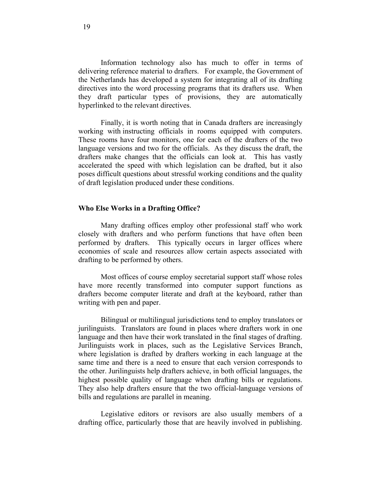Information technology also has much to offer in terms of delivering reference material to drafters. For example, the Government of the Netherlands has developed a system for integrating all of its drafting directives into the word processing programs that its drafters use. When they draft particular types of provisions, they are automatically hyperlinked to the relevant directives.

 Finally, it is worth noting that in Canada drafters are increasingly working with instructing officials in rooms equipped with computers. These rooms have four monitors, one for each of the drafters of the two language versions and two for the officials. As they discuss the draft, the drafters make changes that the officials can look at. This has vastly accelerated the speed with which legislation can be drafted, but it also poses difficult questions about stressful working conditions and the quality of draft legislation produced under these conditions.

#### **Who Else Works in a Drafting Office?**

 Many drafting offices employ other professional staff who work closely with drafters and who perform functions that have often been performed by drafters. This typically occurs in larger offices where economies of scale and resources allow certain aspects associated with drafting to be performed by others.

 Most offices of course employ secretarial support staff whose roles have more recently transformed into computer support functions as drafters become computer literate and draft at the keyboard, rather than writing with pen and paper.

 Bilingual or multilingual jurisdictions tend to employ translators or jurilinguists. Translators are found in places where drafters work in one language and then have their work translated in the final stages of drafting. Jurilinguists work in places, such as the Legislative Services Branch, where legislation is drafted by drafters working in each language at the same time and there is a need to ensure that each version corresponds to the other. Jurilinguists help drafters achieve, in both official languages, the highest possible quality of language when drafting bills or regulations. They also help drafters ensure that the two official-language versions of bills and regulations are parallel in meaning.

 Legislative editors or revisors are also usually members of a drafting office, particularly those that are heavily involved in publishing.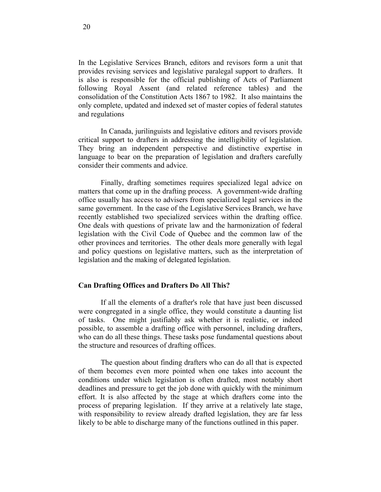In the Legislative Services Branch, editors and revisors form a unit that provides revising services and legislative paralegal support to drafters. It is also is responsible for the official publishing of Acts of Parliament following Royal Assent (and related reference tables) and the consolidation of the Constitution Acts 1867 to 1982. It also maintains the only complete, updated and indexed set of master copies of federal statutes and regulations

 In Canada, jurilinguists and legislative editors and revisors provide critical support to drafters in addressing the intelligibility of legislation. They bring an independent perspective and distinctive expertise in language to bear on the preparation of legislation and drafters carefully consider their comments and advice.

 Finally, drafting sometimes requires specialized legal advice on matters that come up in the drafting process. A government-wide drafting office usually has access to advisers from specialized legal services in the same government. In the case of the Legislative Services Branch, we have recently established two specialized services within the drafting office. One deals with questions of private law and the harmonization of federal legislation with the Civil Code of Quebec and the common law of the other provinces and territories. The other deals more generally with legal and policy questions on legislative matters, such as the interpretation of legislation and the making of delegated legislation.

#### **Can Drafting Offices and Drafters Do All This?**

 If all the elements of a drafter's role that have just been discussed were congregated in a single office, they would constitute a daunting list of tasks. One might justifiably ask whether it is realistic, or indeed possible, to assemble a drafting office with personnel, including drafters, who can do all these things. These tasks pose fundamental questions about the structure and resources of drafting offices.

 The question about finding drafters who can do all that is expected of them becomes even more pointed when one takes into account the conditions under which legislation is often drafted, most notably short deadlines and pressure to get the job done with quickly with the minimum effort. It is also affected by the stage at which drafters come into the process of preparing legislation. If they arrive at a relatively late stage, with responsibility to review already drafted legislation, they are far less likely to be able to discharge many of the functions outlined in this paper.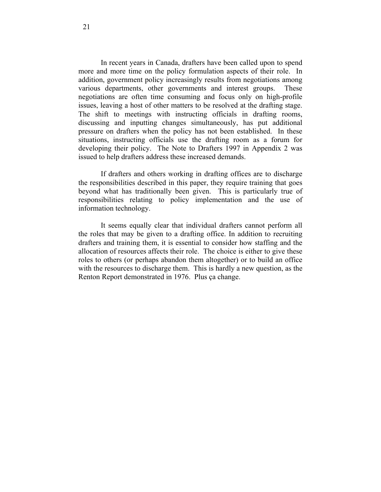In recent years in Canada, drafters have been called upon to spend more and more time on the policy formulation aspects of their role. In addition, government policy increasingly results from negotiations among various departments, other governments and interest groups. These negotiations are often time consuming and focus only on high-profile issues, leaving a host of other matters to be resolved at the drafting stage. The shift to meetings with instructing officials in drafting rooms, discussing and inputting changes simultaneously, has put additional pressure on drafters when the policy has not been established. In these situations, instructing officials use the drafting room as a forum for developing their policy. The Note to Drafters 1997 in Appendix 2 was issued to help drafters address these increased demands.

 If drafters and others working in drafting offices are to discharge the responsibilities described in this paper, they require training that goes beyond what has traditionally been given. This is particularly true of responsibilities relating to policy implementation and the use of information technology.

 It seems equally clear that individual drafters cannot perform all the roles that may be given to a drafting office. In addition to recruiting drafters and training them, it is essential to consider how staffing and the allocation of resources affects their role. The choice is either to give these roles to others (or perhaps abandon them altogether) or to build an office with the resources to discharge them. This is hardly a new question, as the Renton Report demonstrated in 1976. Plus ça change.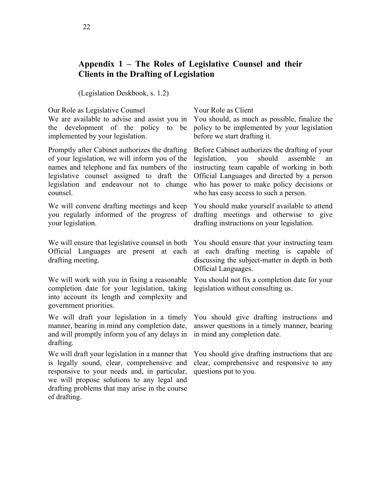# **Appendix 1** − **The Roles of Legislative Counsel and their Clients in the Drafting of Legislation**

(Legislation Deskbook, s. 1.2)

Our Role as Legislative Counsel Your Role as Client

We are available to advise and assist you in the development of the policy to be implemented by your legislation.

Promptly after Cabinet authorizes the drafting of your legislation, we will inform you of the names and telephone and fax numbers of the legislative counsel assigned to draft the legislation and endeavour not to change counsel.

We will convene drafting meetings and keep you regularly informed of the progress of your legislation.

We will ensure that legislative counsel in both Official Languages are present at each drafting meeting.

We will work with you in fixing a reasonable completion date for your legislation, taking into account its length and complexity and government priorities.

We will draft your legislation in a timely manner, bearing in mind any completion date, and will promptly inform you of any delays in drafting.

We will draft your legislation in a manner that is legally sound, clear, comprehensive and responsive to your needs and, in particular, we will propose solutions to any legal and drafting problems that may arise in the course of drafting.

You should, as much as possible, finalize the policy to be implemented by your legislation before we start drafting it.

Before Cabinet authorizes the drafting of your legislation, you should assemble an instructing team capable of working in both Official Languages and directed by a person who has power to make policy decisions or who has easy access to such a person.

You should make yourself available to attend drafting meetings and otherwise to give drafting instructions on your legislation.

You should ensure that your instructing team at each drafting meeting is capable of discussing the subject-matter in depth in both Official Languages.

You should not fix a completion date for your legislation without consulting us.

You should give drafting instructions and answer questions in a timely manner, bearing in mind any completion date.

You should give drafting instructions that are clear, comprehensive and responsive to any questions put to you.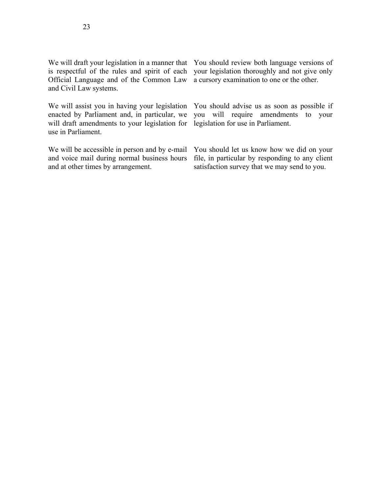We will assist you in having your legislation enacted by Parliament and, in particular, we will draft amendments to your legislation for use in Parliament.

We will be accessible in person and by e-mail and voice mail during normal business hours and at other times by arrangement.

We will draft your legislation in a manner that You should review both language versions of your legislation thoroughly and not give only a cursory examination to one or the other.

> You should advise us as soon as possible if you will require amendments to your legislation for use in Parliament.

> You should let us know how we did on your file, in particular by responding to any client satisfaction survey that we may send to you.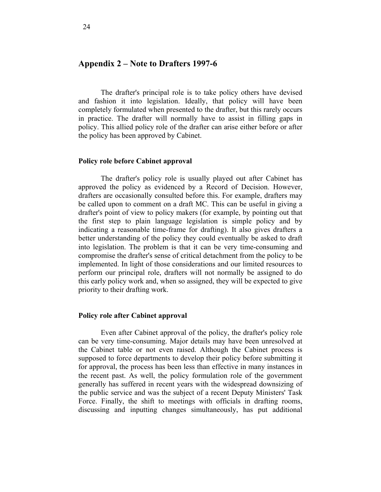#### **Appendix 2 – Note to Drafters 1997-6**

 The drafter's principal role is to take policy others have devised and fashion it into legislation. Ideally, that policy will have been completely formulated when presented to the drafter, but this rarely occurs in practice. The drafter will normally have to assist in filling gaps in policy. This allied policy role of the drafter can arise either before or after the policy has been approved by Cabinet.

#### **Policy role before Cabinet approval**

 The drafter's policy role is usually played out after Cabinet has approved the policy as evidenced by a Record of Decision. However, drafters are occasionally consulted before this. For example, drafters may be called upon to comment on a draft MC. This can be useful in giving a drafter's point of view to policy makers (for example, by pointing out that the first step to plain language legislation is simple policy and by indicating a reasonable time-frame for drafting). It also gives drafters a better understanding of the policy they could eventually be asked to draft into legislation. The problem is that it can be very time-consuming and compromise the drafter's sense of critical detachment from the policy to be implemented. In light of those considerations and our limited resources to perform our principal role, drafters will not normally be assigned to do this early policy work and, when so assigned, they will be expected to give priority to their drafting work.

#### **Policy role after Cabinet approval**

 Even after Cabinet approval of the policy, the drafter's policy role can be very time-consuming. Major details may have been unresolved at the Cabinet table or not even raised. Although the Cabinet process is supposed to force departments to develop their policy before submitting it for approval, the process has been less than effective in many instances in the recent past. As well, the policy formulation role of the government generally has suffered in recent years with the widespread downsizing of the public service and was the subject of a recent Deputy Ministers' Task Force. Finally, the shift to meetings with officials in drafting rooms, discussing and inputting changes simultaneously, has put additional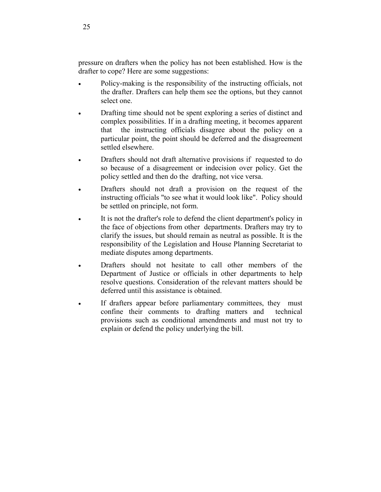pressure on drafters when the policy has not been established. How is the drafter to cope? Here are some suggestions:

- Policy-making is the responsibility of the instructing officials, not the drafter. Drafters can help them see the options, but they cannot select one.
- Drafting time should not be spent exploring a series of distinct and complex possibilities. If in a drafting meeting, it becomes apparent that the instructing officials disagree about the policy on a particular point, the point should be deferred and the disagreement settled elsewhere.
- Drafters should not draft alternative provisions if requested to do so because of a disagreement or indecision over policy. Get the policy settled and then do the drafting, not vice versa.
- Drafters should not draft a provision on the request of the instructing officials "to see what it would look like". Policy should be settled on principle, not form.
- It is not the drafter's role to defend the client department's policy in the face of objections from other departments. Drafters may try to clarify the issues, but should remain as neutral as possible. It is the responsibility of the Legislation and House Planning Secretariat to mediate disputes among departments.
- Drafters should not hesitate to call other members of the Department of Justice or officials in other departments to help resolve questions. Consideration of the relevant matters should be deferred until this assistance is obtained.
- If drafters appear before parliamentary committees, they must confine their comments to drafting matters and technical provisions such as conditional amendments and must not try to explain or defend the policy underlying the bill.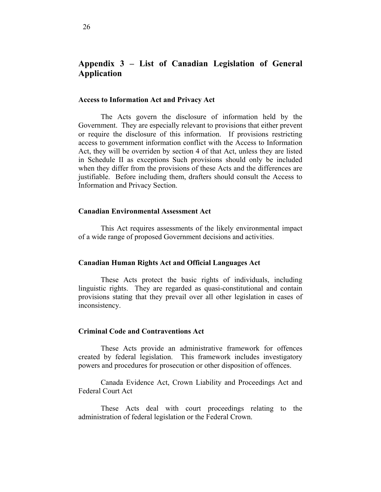# **Appendix 3 – List of Canadian Legislation of General Application**

#### **Access to Information Act and Privacy Act**

 The Acts govern the disclosure of information held by the Government. They are especially relevant to provisions that either prevent or require the disclosure of this information. If provisions restricting access to government information conflict with the Access to Information Act, they will be overriden by section 4 of that Act, unless they are listed in Schedule II as exceptions Such provisions should only be included when they differ from the provisions of these Acts and the differences are justifiable. Before including them, drafters should consult the Access to Information and Privacy Section.

#### **Canadian Environmental Assessment Act**

 This Act requires assessments of the likely environmental impact of a wide range of proposed Government decisions and activities.

#### **Canadian Human Rights Act and Official Languages Act**

 These Acts protect the basic rights of individuals, including linguistic rights. They are regarded as quasi-constitutional and contain provisions stating that they prevail over all other legislation in cases of inconsistency.

#### **Criminal Code and Contraventions Act**

 These Acts provide an administrative framework for offences created by federal legislation. This framework includes investigatory powers and procedures for prosecution or other disposition of offences.

 Canada Evidence Act, Crown Liability and Proceedings Act and Federal Court Act

 These Acts deal with court proceedings relating to the administration of federal legislation or the Federal Crown.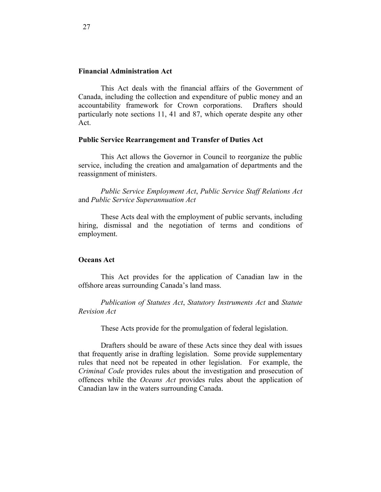#### **Financial Administration Act**

 This Act deals with the financial affairs of the Government of Canada, including the collection and expenditure of public money and an accountability framework for Crown corporations. Drafters should particularly note sections 11, 41 and 87, which operate despite any other Act.

#### **Public Service Rearrangement and Transfer of Duties Act**

 This Act allows the Governor in Council to reorganize the public service, including the creation and amalgamation of departments and the reassignment of ministers.

*Public Service Employment Act*, *Public Service Staff Relations Act* and *Public Service Superannuation Act*

 These Acts deal with the employment of public servants, including hiring, dismissal and the negotiation of terms and conditions of employment.

#### **Oceans Act**

 This Act provides for the application of Canadian law in the offshore areas surrounding Canada's land mass.

*Publication of Statutes Act*, *Statutory Instruments Act* and *Statute Revision Act*

These Acts provide for the promulgation of federal legislation.

 Drafters should be aware of these Acts since they deal with issues that frequently arise in drafting legislation. Some provide supplementary rules that need not be repeated in other legislation. For example, the *Criminal Code* provides rules about the investigation and prosecution of offences while the *Oceans Act* provides rules about the application of Canadian law in the waters surrounding Canada.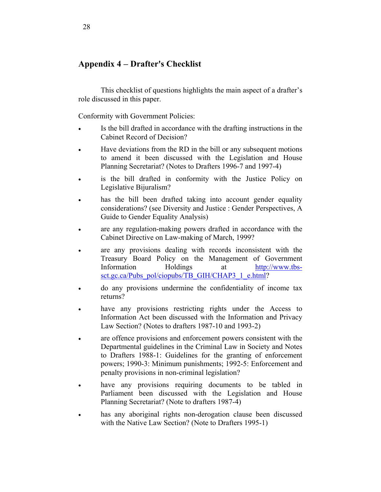# **Appendix 4** − **Drafter's Checklist**

 This checklist of questions highlights the main aspect of a drafter's role discussed in this paper.

Conformity with Government Policies:

- Is the bill drafted in accordance with the drafting instructions in the Cabinet Record of Decision?
- Have deviations from the RD in the bill or any subsequent motions to amend it been discussed with the Legislation and House Planning Secretariat? (Notes to Drafters 1996-7 and 1997-4)
- is the bill drafted in conformity with the Justice Policy on Legislative Bijuralism?
- has the bill been drafted taking into account gender equality considerations? (see Diversity and Justice : Gender Perspectives, A Guide to Gender Equality Analysis)
- are any regulation-making powers drafted in accordance with the Cabinet Directive on Law-making of March, 1999?
- are any provisions dealing with records inconsistent with the Treasury Board Policy on the Management of Government Information Holdings at http://www.tbssct.gc.ca/Pubs\_pol/ciopubs/TB\_GIH/CHAP3\_1\_e.html?
- do any provisions undermine the confidentiality of income tax returns?
- have any provisions restricting rights under the Access to Information Act been discussed with the Information and Privacy Law Section? (Notes to drafters 1987-10 and 1993-2)
- are offence provisions and enforcement powers consistent with the Departmental guidelines in the Criminal Law in Society and Notes to Drafters 1988-1: Guidelines for the granting of enforcement powers; 1990-3: Minimum punishments; 1992-5: Enforcement and penalty provisions in non-criminal legislation?
- have any provisions requiring documents to be tabled in Parliament been discussed with the Legislation and House Planning Secretariat? (Note to drafters 1987-4)
- has any aboriginal rights non-derogation clause been discussed with the Native Law Section? (Note to Drafters 1995-1)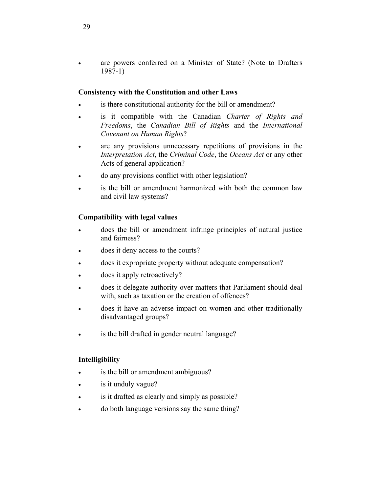• are powers conferred on a Minister of State? (Note to Drafters 1987-1)

### **Consistency with the Constitution and other Laws**

- is there constitutional authority for the bill or amendment?
- is it compatible with the Canadian *Charter of Rights and Freedoms*, the *Canadian Bill of Rights* and the *International Covenant on Human Rights*?
- are any provisions unnecessary repetitions of provisions in the *Interpretation Act*, the *Criminal Code*, the *Oceans Act* or any other Acts of general application?
- do any provisions conflict with other legislation?
- is the bill or amendment harmonized with both the common law and civil law systems?

## **Compatibility with legal values**

- does the bill or amendment infringe principles of natural justice and fairness?
- does it deny access to the courts?
- does it expropriate property without adequate compensation?
- does it apply retroactively?
- does it delegate authority over matters that Parliament should deal with, such as taxation or the creation of offences?
- does it have an adverse impact on women and other traditionally disadvantaged groups?
- is the bill drafted in gender neutral language?

## **Intelligibility**

- is the bill or amendment ambiguous?
- is it unduly vague?
- is it drafted as clearly and simply as possible?
- do both language versions say the same thing?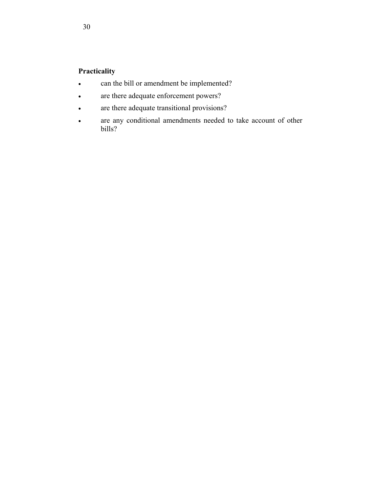# **Practicality**

- can the bill or amendment be implemented?
- are there adequate enforcement powers?
- are there adequate transitional provisions?
- are any conditional amendments needed to take account of other bills?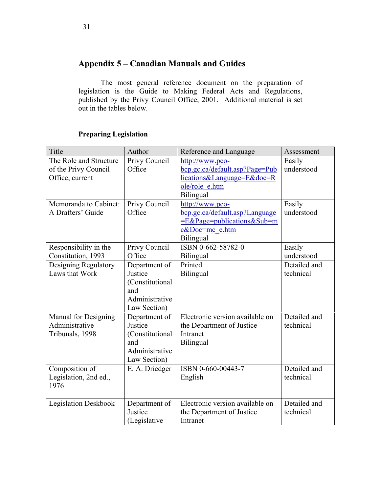# **Appendix 5 – Canadian Manuals and Guides**

 The most general reference document on the preparation of legislation is the Guide to Making Federal Acts and Regulations, published by the Privy Council Office, 2001. Additional material is set out in the tables below.

# **Preparing Legislation**

| Title                       | Author          | Reference and Language          | Assessment   |
|-----------------------------|-----------------|---------------------------------|--------------|
| The Role and Structure      | Privy Council   | http://www.pco-                 | Easily       |
| of the Privy Council        | Office          | bcp.gc.ca/default.asp?Page=Pub  | understood   |
| Office, current             |                 | lications&Language=E&doc=R      |              |
|                             |                 | ole/role e.htm                  |              |
|                             |                 | Bilingual                       |              |
| Memoranda to Cabinet:       | Privy Council   | http://www.pco-                 | Easily       |
| A Drafters' Guide           | Office          | bcp.gc.ca/default.asp?Language  | understood   |
|                             |                 | $=E\&Page=publications\⋐=m$     |              |
|                             |                 | c&Doc=mc e.htm                  |              |
|                             |                 | Bilingual                       |              |
| Responsibility in the       | Privy Council   | ISBN 0-662-58782-0              | Easily       |
| Constitution, 1993          | Office          | Bilingual                       | understood   |
| Designing Regulatory        | Department of   | Printed                         | Detailed and |
| Laws that Work              | Justice         | Bilingual                       | technical    |
|                             | (Constitutional |                                 |              |
|                             | and             |                                 |              |
|                             | Administrative  |                                 |              |
|                             | Law Section)    |                                 |              |
| Manual for Designing        | Department of   | Electronic version available on | Detailed and |
| Administrative              | Justice         | the Department of Justice       | technical    |
| Tribunals, 1998             | (Constitutional | Intranet                        |              |
|                             | and             | Bilingual                       |              |
|                             | Administrative  |                                 |              |
|                             | Law Section)    |                                 |              |
| Composition of              | E. A. Driedger  | ISBN 0-660-00443-7              | Detailed and |
| Legislation, 2nd ed.,       |                 | English                         | technical    |
| 1976                        |                 |                                 |              |
|                             |                 |                                 |              |
| <b>Legislation Deskbook</b> | Department of   | Electronic version available on | Detailed and |
|                             | Justice         | the Department of Justice       | technical    |
|                             | (Legislative    | Intranet                        |              |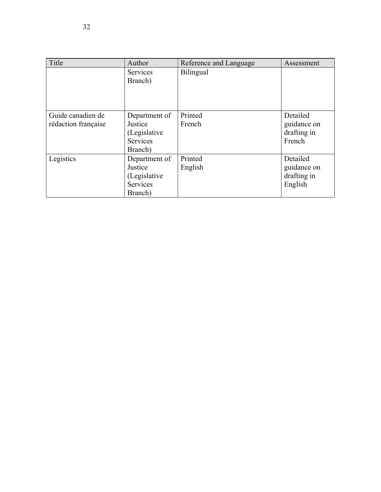| Title                                    | Author                                                           | Reference and Language | Assessment                                        |
|------------------------------------------|------------------------------------------------------------------|------------------------|---------------------------------------------------|
|                                          | <b>Services</b><br>Branch)                                       | Bilingual              |                                                   |
| Guide canadien de<br>rédaction française | Department of<br>Justice<br>(Legislative<br>Services<br>Branch)  | Printed<br>French      | Detailed<br>guidance on<br>drafting in<br>French  |
| Legistics                                | Department of<br>Justice<br>(Legislative)<br>Services<br>Branch) | Printed<br>English     | Detailed<br>guidance on<br>drafting in<br>English |